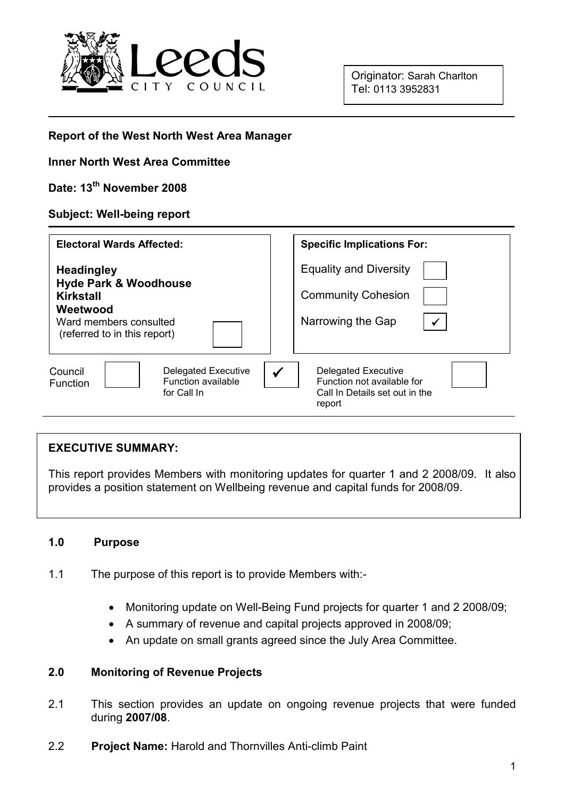

Originator: Sarah Charlton Tel: 0113 3952831

#### Report of the West North West Area Manager

#### Inner North West Area Committee

## Date: 13<sup>th</sup> November 2008

#### Subject: Well-being report

| <b>Electoral Wards Affected:</b>                                                                     | <b>Specific Implications For:</b>                                                                         |
|------------------------------------------------------------------------------------------------------|-----------------------------------------------------------------------------------------------------------|
| <b>Headingley</b>                                                                                    | <b>Equality and Diversity</b>                                                                             |
| <b>Hyde Park &amp; Woodhouse</b><br>Kirkstall                                                        | <b>Community Cohesion</b>                                                                                 |
| Weetwood<br>Ward members consulted<br>(referred to in this report)                                   | Narrowing the Gap<br>$\checkmark$                                                                         |
| Council<br><b>Delegated Executive</b><br><b>Function available</b><br><b>Function</b><br>for Call In | <b>Delegated Executive</b><br>✔<br>Function not available for<br>Call In Details set out in the<br>report |

#### EXECUTIVE SUMMARY:

This report provides Members with monitoring updates for quarter 1 and 2 2008/09. It also provides a position statement on Wellbeing revenue and capital funds for 2008/09.

#### 1.0 Purpose

 $\overline{a}$ 

- 1.1 The purpose of this report is to provide Members with:-
	- Monitoring update on Well-Being Fund projects for quarter 1 and 2 2008/09;
	- A summary of revenue and capital projects approved in 2008/09;
	- An update on small grants agreed since the July Area Committee.

## 2.0 Monitoring of Revenue Projects

- 2.1 This section provides an update on ongoing revenue projects that were funded during 2007/08.
- 2.2 Project Name: Harold and Thornvilles Anti-climb Paint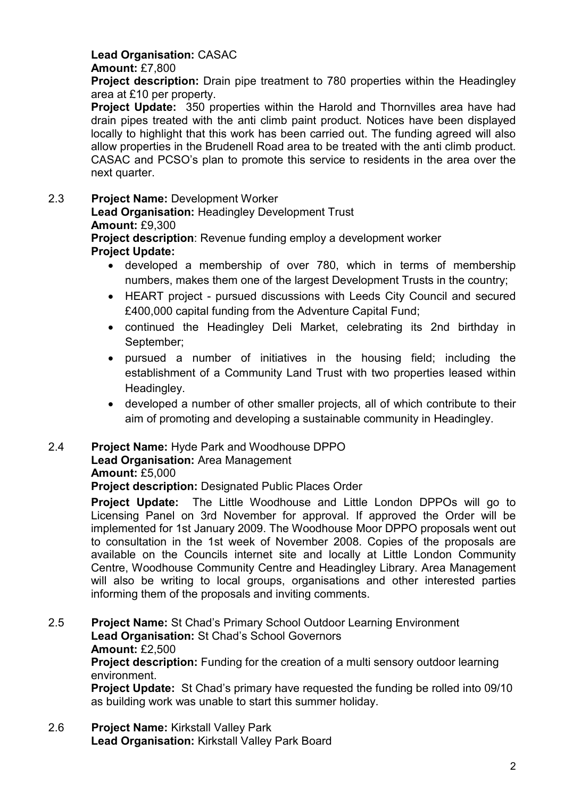# Lead Organisation: CASAC

## Amount: £7,800

**Project description:** Drain pipe treatment to 780 properties within the Headingley area at £10 per property.

**Project Update:** 350 properties within the Harold and Thornvilles area have had drain pipes treated with the anti climb paint product. Notices have been displayed locally to highlight that this work has been carried out. The funding agreed will also allow properties in the Brudenell Road area to be treated with the anti climb product. CASAC and PCSO's plan to promote this service to residents in the area over the next quarter.

## 2.3 Project Name: Development Worker

Lead Organisation: Headingley Development Trust

## Amount: £9,300

**Project description:** Revenue funding employ a development worker Project Update:

- developed a membership of over 780, which in terms of membership numbers, makes them one of the largest Development Trusts in the country;
- HEART project pursued discussions with Leeds City Council and secured £400,000 capital funding from the Adventure Capital Fund;
- continued the Headingley Deli Market, celebrating its 2nd birthday in September;
- pursued a number of initiatives in the housing field; including the establishment of a Community Land Trust with two properties leased within Headingley.
- developed a number of other smaller projects, all of which contribute to their aim of promoting and developing a sustainable community in Headingley.

# 2.4 Project Name: Hyde Park and Woodhouse DPPO

## Lead Organisation: Area Management

#### Amount: £5,000

Project description: Designated Public Places Order

Project Update: The Little Woodhouse and Little London DPPOs will go to Licensing Panel on 3rd November for approval. If approved the Order will be implemented for 1st January 2009. The Woodhouse Moor DPPO proposals went out to consultation in the 1st week of November 2008. Copies of the proposals are available on the Councils internet site and locally at Little London Community Centre, Woodhouse Community Centre and Headingley Library. Area Management will also be writing to local groups, organisations and other interested parties informing them of the proposals and inviting comments.

#### 2.5 Project Name: St Chad's Primary School Outdoor Learning Environment Lead Organisation: St Chad's School Governors Amount: £2,500 **Project description:** Funding for the creation of a multi sensory outdoor learning

environment.

Project Update: St Chad's primary have requested the funding be rolled into 09/10 as building work was unable to start this summer holiday.

2.6 Project Name: Kirkstall Valley Park Lead Organisation: Kirkstall Valley Park Board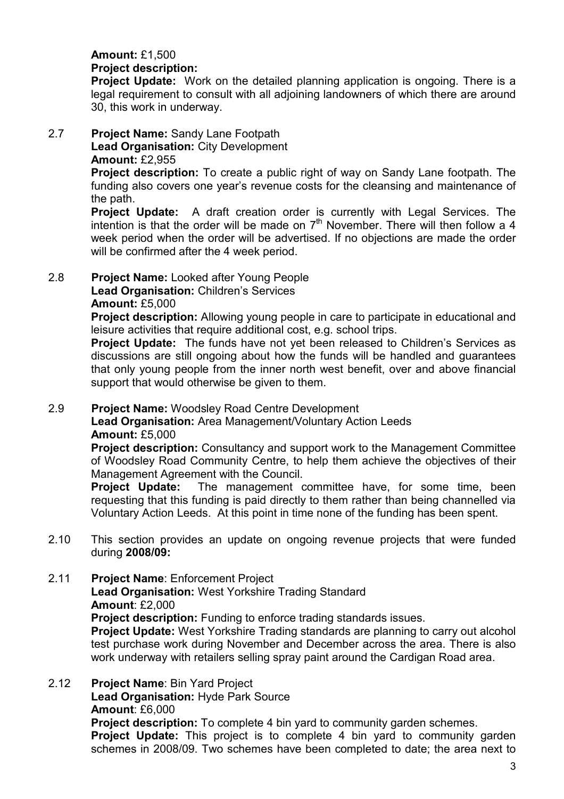#### Amount: £1,500 Project description:

**Project Update:** Work on the detailed planning application is ongoing. There is a legal requirement to consult with all adjoining landowners of which there are around 30, this work in underway.

## 2.7 Project Name: Sandy Lane Footpath Lead Organisation: City Development

Amount: £2,955

**Project description:** To create a public right of way on Sandy Lane footpath. The funding also covers one year's revenue costs for the cleansing and maintenance of the path.

Project Update: A draft creation order is currently with Legal Services. The intention is that the order will be made on  $7<sup>th</sup>$  November. There will then follow a 4 week period when the order will be advertised. If no objections are made the order will be confirmed after the 4 week period.

2.8 Project Name: Looked after Young People Lead Organisation: Children's Services

## Amount: £5,000

Project description: Allowing young people in care to participate in educational and leisure activities that require additional cost, e.g. school trips.

**Project Update:** The funds have not yet been released to Children's Services as discussions are still ongoing about how the funds will be handled and guarantees that only young people from the inner north west benefit, over and above financial support that would otherwise be given to them.

## 2.9 Project Name: Woodsley Road Centre Development

Lead Organisation: Area Management/Voluntary Action Leeds Amount: £5,000

Project description: Consultancy and support work to the Management Committee of Woodsley Road Community Centre, to help them achieve the objectives of their Management Agreement with the Council.

**Project Update:** The management committee have, for some time, been requesting that this funding is paid directly to them rather than being channelled via Voluntary Action Leeds. At this point in time none of the funding has been spent.

2.10 This section provides an update on ongoing revenue projects that were funded during 2008/09:

2.11 Project Name: Enforcement Project Lead Organisation: West Yorkshire Trading Standard Amount: £2,000 **Project description:** Funding to enforce trading standards issues. **Project Update:** West Yorkshire Trading standards are planning to carry out alcohol test purchase work during November and December across the area. There is also work underway with retailers selling spray paint around the Cardigan Road area.

2.12 Project Name: Bin Yard Project Lead Organisation: Hyde Park Source Amount: £6,000 **Project description:** To complete 4 bin yard to community garden schemes. **Project Update:** This project is to complete 4 bin yard to community garden schemes in 2008/09. Two schemes have been completed to date; the area next to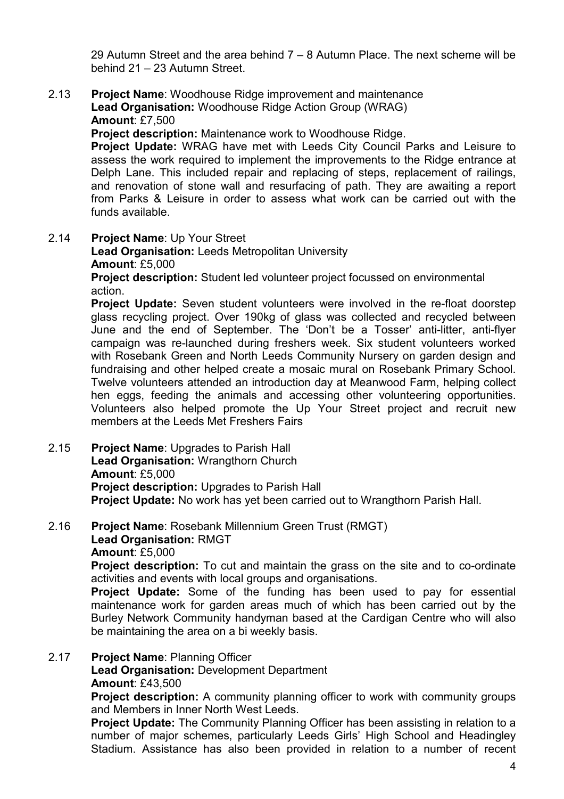29 Autumn Street and the area behind 7 – 8 Autumn Place. The next scheme will be behind 21 – 23 Autumn Street.

2.13 Project Name: Woodhouse Ridge improvement and maintenance Lead Organisation: Woodhouse Ridge Action Group (WRAG) Amount: £7,500

Project description: Maintenance work to Woodhouse Ridge.

Project Update: WRAG have met with Leeds City Council Parks and Leisure to assess the work required to implement the improvements to the Ridge entrance at Delph Lane. This included repair and replacing of steps, replacement of railings, and renovation of stone wall and resurfacing of path. They are awaiting a report from Parks & Leisure in order to assess what work can be carried out with the funds available.

2.14 Project Name: Up Your Street

Lead Organisation: Leeds Metropolitan University Amount: £5,000

Project description: Student led volunteer project focussed on environmental action.

Project Update: Seven student volunteers were involved in the re-float doorstep glass recycling project. Over 190kg of glass was collected and recycled between June and the end of September. The 'Don't be a Tosser' anti-litter, anti-flyer campaign was re-launched during freshers week. Six student volunteers worked with Rosebank Green and North Leeds Community Nursery on garden design and fundraising and other helped create a mosaic mural on Rosebank Primary School. Twelve volunteers attended an introduction day at Meanwood Farm, helping collect hen eggs, feeding the animals and accessing other volunteering opportunities. Volunteers also helped promote the Up Your Street project and recruit new members at the Leeds Met Freshers Fairs

2.15 Project Name: Upgrades to Parish Hall Lead Organisation: Wrangthorn Church Amount: £5,000 Project description: Upgrades to Parish Hall **Project Update:** No work has yet been carried out to Wrangthorn Parish Hall.

## 2.16 Project Name: Rosebank Millennium Green Trust (RMGT) Lead Organisation: RMGT Amount: £5,000

**Project description:** To cut and maintain the grass on the site and to co-ordinate activities and events with local groups and organisations.

**Project Update:** Some of the funding has been used to pay for essential maintenance work for garden areas much of which has been carried out by the Burley Network Community handyman based at the Cardigan Centre who will also be maintaining the area on a bi weekly basis.

## 2.17 Project Name: Planning Officer

Lead Organisation: Development Department Amount: £43,500

**Project description:** A community planning officer to work with community groups and Members in Inner North West Leeds.

**Project Update:** The Community Planning Officer has been assisting in relation to a number of major schemes, particularly Leeds Girls' High School and Headingley Stadium. Assistance has also been provided in relation to a number of recent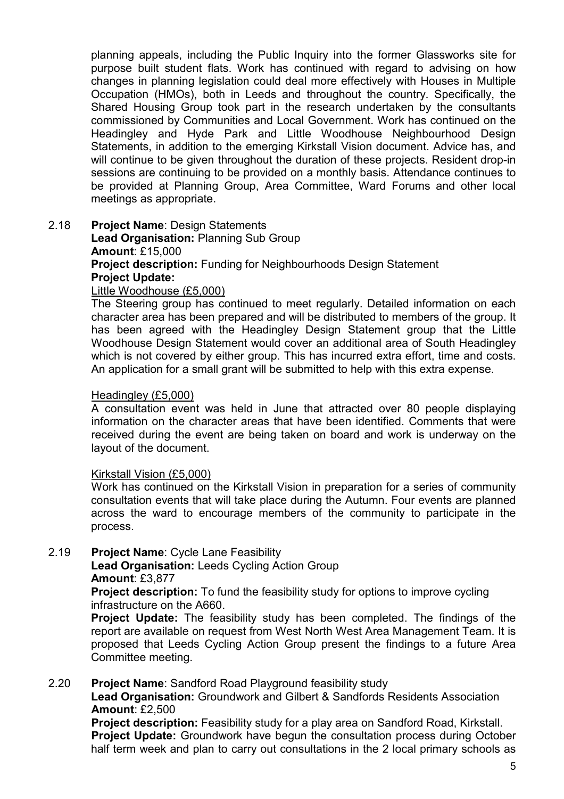planning appeals, including the Public Inquiry into the former Glassworks site for purpose built student flats. Work has continued with regard to advising on how changes in planning legislation could deal more effectively with Houses in Multiple Occupation (HMOs), both in Leeds and throughout the country. Specifically, the Shared Housing Group took part in the research undertaken by the consultants commissioned by Communities and Local Government. Work has continued on the Headingley and Hyde Park and Little Woodhouse Neighbourhood Design Statements, in addition to the emerging Kirkstall Vision document. Advice has, and will continue to be given throughout the duration of these projects. Resident drop-in sessions are continuing to be provided on a monthly basis. Attendance continues to be provided at Planning Group, Area Committee, Ward Forums and other local meetings as appropriate.

2.18 Project Name: Design Statements Lead Organisation: Planning Sub Group Amount: £15,000 Project description: Funding for Neighbourhoods Design Statement Project Update: Little Woodhouse (£5,000)

> The Steering group has continued to meet regularly. Detailed information on each character area has been prepared and will be distributed to members of the group. It has been agreed with the Headingley Design Statement group that the Little Woodhouse Design Statement would cover an additional area of South Headingley which is not covered by either group. This has incurred extra effort, time and costs. An application for a small grant will be submitted to help with this extra expense.

#### Headingley (£5,000)

A consultation event was held in June that attracted over 80 people displaying information on the character areas that have been identified. Comments that were received during the event are being taken on board and work is underway on the layout of the document.

#### Kirkstall Vision (£5,000)

Work has continued on the Kirkstall Vision in preparation for a series of community consultation events that will take place during the Autumn. Four events are planned across the ward to encourage members of the community to participate in the process.

## 2.19 Project Name: Cycle Lane Feasibility

Lead Organisation: Leeds Cycling Action Group Amount: £3,877

**Project description:** To fund the feasibility study for options to improve cycling infrastructure on the A660.

Project Update: The feasibility study has been completed. The findings of the report are available on request from West North West Area Management Team. It is proposed that Leeds Cycling Action Group present the findings to a future Area Committee meeting.

#### 2.20 Project Name: Sandford Road Playground feasibility study

Lead Organisation: Groundwork and Gilbert & Sandfords Residents Association Amount: £2,500

Project description: Feasibility study for a play area on Sandford Road, Kirkstall. **Project Update:** Groundwork have begun the consultation process during October half term week and plan to carry out consultations in the 2 local primary schools as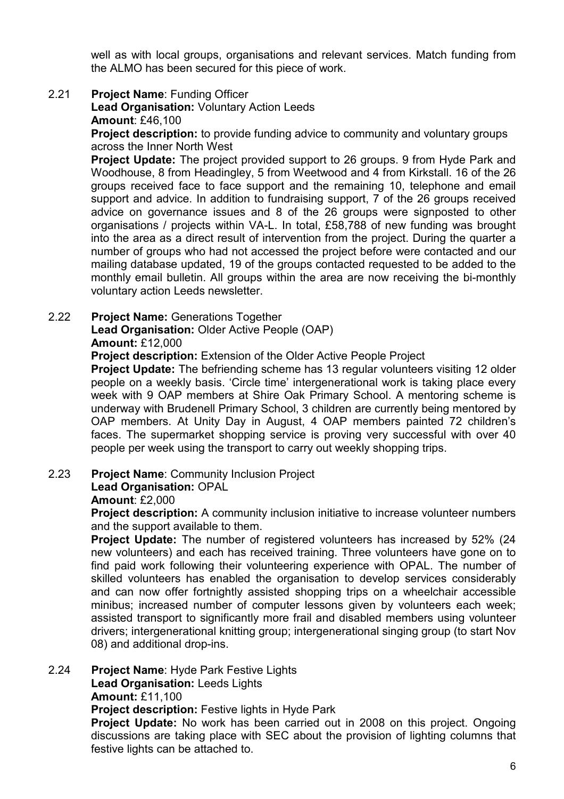well as with local groups, organisations and relevant services. Match funding from the ALMO has been secured for this piece of work.

## 2.21 Project Name: Funding Officer

Lead Organisation: Voluntary Action Leeds Amount: £46,100

**Project description:** to provide funding advice to community and voluntary groups across the Inner North West

**Project Update:** The project provided support to 26 groups. 9 from Hyde Park and Woodhouse, 8 from Headingley, 5 from Weetwood and 4 from Kirkstall. 16 of the 26 groups received face to face support and the remaining 10, telephone and email support and advice. In addition to fundraising support, 7 of the 26 groups received advice on governance issues and 8 of the 26 groups were signposted to other organisations / projects within VA-L. In total, £58,788 of new funding was brought into the area as a direct result of intervention from the project. During the quarter a number of groups who had not accessed the project before were contacted and our mailing database updated, 19 of the groups contacted requested to be added to the monthly email bulletin. All groups within the area are now receiving the bi-monthly voluntary action Leeds newsletter.

## 2.22 Project Name: Generations Together

Lead Organisation: Older Active People (OAP)

#### Amount: £12,000

Project description: Extension of the Older Active People Project

**Project Update:** The befriending scheme has 13 regular volunteers visiting 12 older people on a weekly basis. 'Circle time' intergenerational work is taking place every week with 9 OAP members at Shire Oak Primary School. A mentoring scheme is underway with Brudenell Primary School, 3 children are currently being mentored by OAP members. At Unity Day in August, 4 OAP members painted 72 children's faces. The supermarket shopping service is proving very successful with over 40 people per week using the transport to carry out weekly shopping trips.

#### 2.23 Project Name: Community Inclusion Project

#### Lead Organisation: OPAL

#### Amount: £2,000

**Project description:** A community inclusion initiative to increase volunteer numbers and the support available to them.

Project Update: The number of registered volunteers has increased by 52% (24 new volunteers) and each has received training. Three volunteers have gone on to find paid work following their volunteering experience with OPAL. The number of skilled volunteers has enabled the organisation to develop services considerably and can now offer fortnightly assisted shopping trips on a wheelchair accessible minibus; increased number of computer lessons given by volunteers each week; assisted transport to significantly more frail and disabled members using volunteer drivers; intergenerational knitting group; intergenerational singing group (to start Nov 08) and additional drop-ins.

#### 2.24 Project Name: Hyde Park Festive Lights

Lead Organisation: Leeds Lights

#### Amount: £11,100

Project description: Festive lights in Hyde Park

Project Update: No work has been carried out in 2008 on this project. Ongoing discussions are taking place with SEC about the provision of lighting columns that festive lights can be attached to.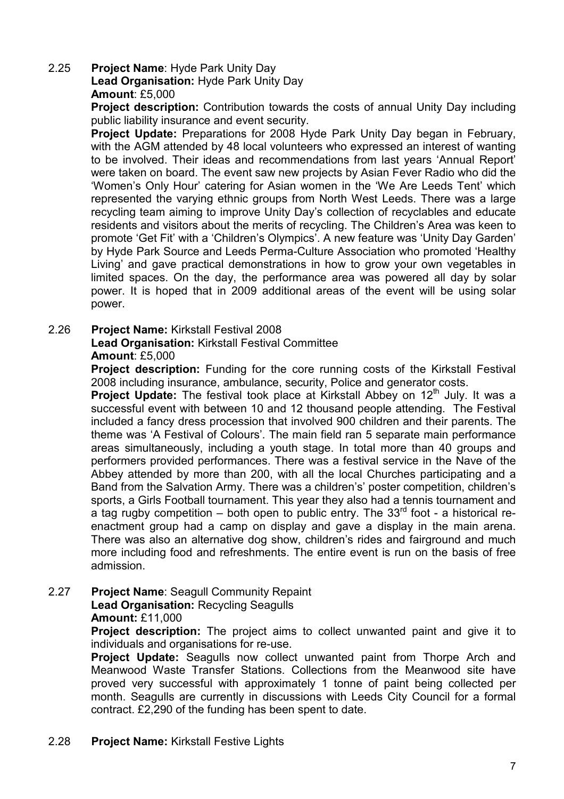#### 2.25 Project Name: Hyde Park Unity Day Lead Organisation: Hyde Park Unity Day Amount: £5,000

**Project description:** Contribution towards the costs of annual Unity Day including public liability insurance and event security.

Project Update: Preparations for 2008 Hyde Park Unity Day began in February, with the AGM attended by 48 local volunteers who expressed an interest of wanting to be involved. Their ideas and recommendations from last years 'Annual Report' were taken on board. The event saw new projects by Asian Fever Radio who did the 'Women's Only Hour' catering for Asian women in the 'We Are Leeds Tent' which represented the varying ethnic groups from North West Leeds. There was a large recycling team aiming to improve Unity Day's collection of recyclables and educate residents and visitors about the merits of recycling. The Children's Area was keen to promote 'Get Fit' with a 'Children's Olympics'. A new feature was 'Unity Day Garden' by Hyde Park Source and Leeds Perma-Culture Association who promoted 'Healthy Living' and gave practical demonstrations in how to grow your own vegetables in limited spaces. On the day, the performance area was powered all day by solar power. It is hoped that in 2009 additional areas of the event will be using solar power.

## 2.26 Project Name: Kirkstall Festival 2008

#### Lead Organisation: Kirkstall Festival Committee Amount: £5,000

**Project description:** Funding for the core running costs of the Kirkstall Festival 2008 including insurance, ambulance, security, Police and generator costs.

**Project Update:** The festival took place at Kirkstall Abbey on  $12<sup>th</sup>$  July. It was a successful event with between 10 and 12 thousand people attending. The Festival included a fancy dress procession that involved 900 children and their parents. The theme was 'A Festival of Colours'. The main field ran 5 separate main performance areas simultaneously, including a youth stage. In total more than 40 groups and performers provided performances. There was a festival service in the Nave of the Abbey attended by more than 200, with all the local Churches participating and a Band from the Salvation Army. There was a children's' poster competition, children's sports, a Girls Football tournament. This year they also had a tennis tournament and a tag rugby competition – both open to public entry. The  $33<sup>rd</sup>$  foot - a historical reenactment group had a camp on display and gave a display in the main arena. There was also an alternative dog show, children's rides and fairground and much more including food and refreshments. The entire event is run on the basis of free admission.

#### 2.27 Project Name: Seagull Community Repaint Lead Organisation: Recycling Seagulls Amount: £11,000

Project description: The project aims to collect unwanted paint and give it to individuals and organisations for re-use.

Project Update: Seagulls now collect unwanted paint from Thorpe Arch and Meanwood Waste Transfer Stations. Collections from the Meanwood site have proved very successful with approximately 1 tonne of paint being collected per month. Seagulls are currently in discussions with Leeds City Council for a formal contract. £2,290 of the funding has been spent to date.

## 2.28 Project Name: Kirkstall Festive Lights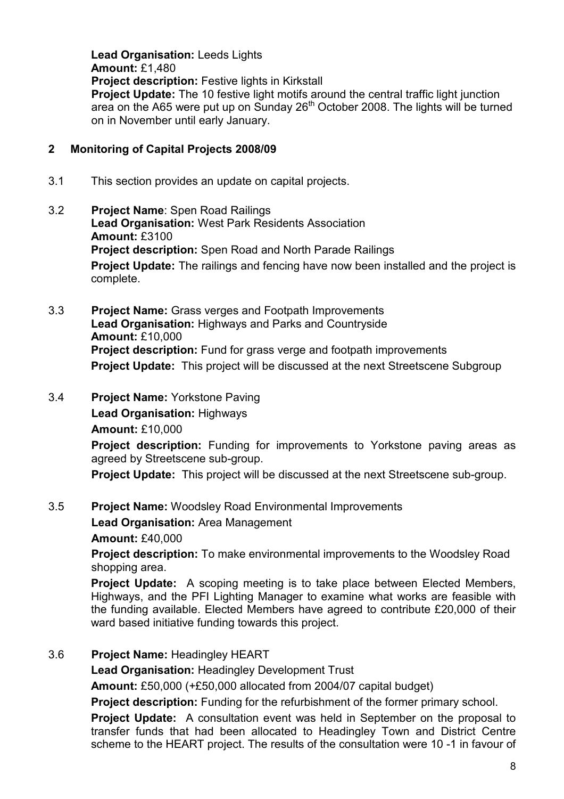Lead Organisation: Leeds Lights Amount: £1,480 Project description: Festive lights in Kirkstall Project Update: The 10 festive light motifs around the central traffic light junction area on the A65 were put up on Sunday 26<sup>th</sup> October 2008. The lights will be turned on in November until early January.

## 2 Monitoring of Capital Projects 2008/09

- 3.1 This section provides an update on capital projects.
- 3.2 Project Name: Spen Road Railings Lead Organisation: West Park Residents Association Amount: £3100 **Project description:** Spen Road and North Parade Railings **Project Update:** The railings and fencing have now been installed and the project is complete.
- 3.3 Project Name: Grass verges and Footpath Improvements Lead Organisation: Highways and Parks and Countryside Amount: £10,000 **Project description:** Fund for grass verge and footpath improvements Project Update: This project will be discussed at the next Streetscene Subgroup
- 3.4 Project Name: Yorkstone Paving

Lead Organisation: Highways

Amount: £10,000

**Project description:** Funding for improvements to Yorkstone paving areas as agreed by Streetscene sub-group.

Project Update: This project will be discussed at the next Streetscene sub-group.

3.5 Project Name: Woodsley Road Environmental Improvements

Lead Organisation: Area Management

Amount: £40,000

Project description: To make environmental improvements to the Woodsley Road shopping area.

**Project Update:** A scoping meeting is to take place between Elected Members, Highways, and the PFI Lighting Manager to examine what works are feasible with the funding available. Elected Members have agreed to contribute £20,000 of their ward based initiative funding towards this project.

3.6 Project Name: Headingley HEART

Lead Organisation: Headingley Development Trust

Amount: £50,000 (+£50,000 allocated from 2004/07 capital budget)

**Project description:** Funding for the refurbishment of the former primary school.

**Project Update:** A consultation event was held in September on the proposal to transfer funds that had been allocated to Headingley Town and District Centre scheme to the HEART project. The results of the consultation were 10 -1 in favour of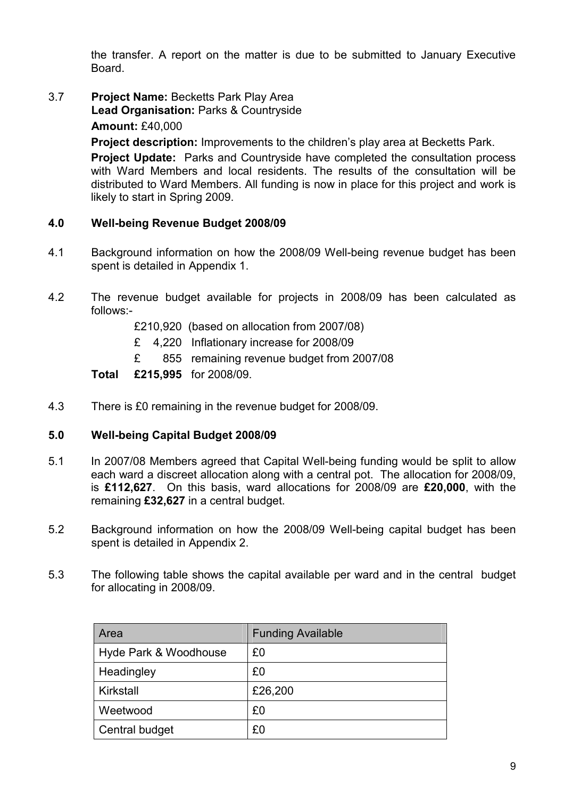the transfer. A report on the matter is due to be submitted to January Executive Board.

3.7 Project Name: Becketts Park Play Area Lead Organisation: Parks & Countryside

Amount: £40,000

Project description: Improvements to the children's play area at Becketts Park.

**Project Update:** Parks and Countryside have completed the consultation process with Ward Members and local residents. The results of the consultation will be distributed to Ward Members. All funding is now in place for this project and work is likely to start in Spring 2009.

## 4.0 Well-being Revenue Budget 2008/09

- 4.1 Background information on how the 2008/09 Well-being revenue budget has been spent is detailed in Appendix 1.
- 4.2 The revenue budget available for projects in 2008/09 has been calculated as follows:-
	- £210,920 (based on allocation from 2007/08)
	- £ 4,220 Inflationary increase for 2008/09
	- £ 855 remaining revenue budget from 2007/08

#### Total £215,995 for 2008/09.

4.3 There is £0 remaining in the revenue budget for 2008/09.

#### 5.0 Well-being Capital Budget 2008/09

- 5.1 In 2007/08 Members agreed that Capital Well-being funding would be split to allow each ward a discreet allocation along with a central pot. The allocation for 2008/09, is £112,627. On this basis, ward allocations for 2008/09 are £20,000, with the remaining £32,627 in a central budget.
- 5.2 Background information on how the 2008/09 Well-being capital budget has been spent is detailed in Appendix 2.
- 5.3 The following table shows the capital available per ward and in the central budget for allocating in 2008/09.

| Area                  | <b>Funding Available</b> |
|-----------------------|--------------------------|
| Hyde Park & Woodhouse | £0                       |
| Headingley            | £0                       |
| Kirkstall             | £26,200                  |
| Weetwood              | £0                       |
| Central budget        | £0                       |